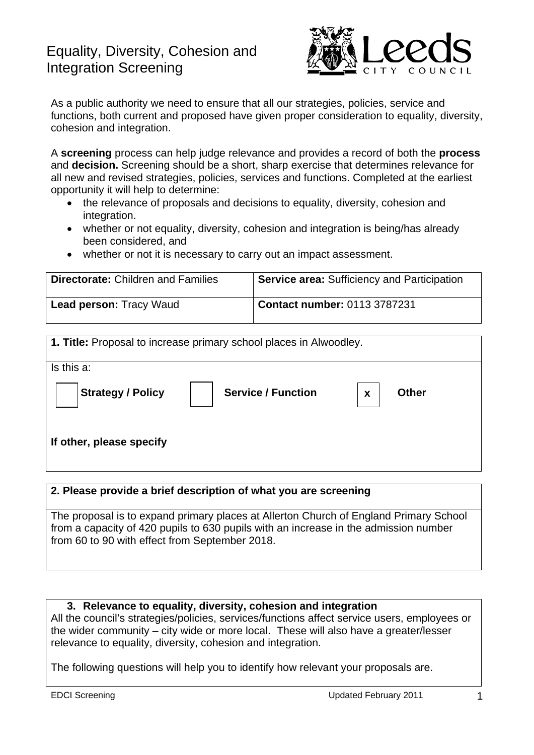# Equality, Diversity, Cohesion and Integration Screening



As a public authority we need to ensure that all our strategies, policies, service and functions, both current and proposed have given proper consideration to equality, diversity, cohesion and integration.

A **screening** process can help judge relevance and provides a record of both the **process** and **decision.** Screening should be a short, sharp exercise that determines relevance for all new and revised strategies, policies, services and functions. Completed at the earliest opportunity it will help to determine:

- the relevance of proposals and decisions to equality, diversity, cohesion and integration.
- whether or not equality, diversity, cohesion and integration is being/has already been considered, and
- whether or not it is necessary to carry out an impact assessment.

| <b>Directorate: Children and Families</b> | <b>Service area: Sufficiency and Participation</b> |
|-------------------------------------------|----------------------------------------------------|
| <b>Lead person: Tracy Waud</b>            | <b>Contact number: 0113 3787231</b>                |

| 1. Title: Proposal to increase primary school places in Alwoodley. |                           |                   |  |  |
|--------------------------------------------------------------------|---------------------------|-------------------|--|--|
| Is this a:                                                         |                           |                   |  |  |
| <b>Strategy / Policy</b>                                           | <b>Service / Function</b> | <b>Other</b><br>X |  |  |
| If other, please specify                                           |                           |                   |  |  |

#### **2. Please provide a brief description of what you are screening**

The proposal is to expand primary places at Allerton Church of England Primary School from a capacity of 420 pupils to 630 pupils with an increase in the admission number from 60 to 90 with effect from September 2018.

#### **3. Relevance to equality, diversity, cohesion and integration**

All the council's strategies/policies, services/functions affect service users, employees or the wider community – city wide or more local. These will also have a greater/lesser relevance to equality, diversity, cohesion and integration.

The following questions will help you to identify how relevant your proposals are.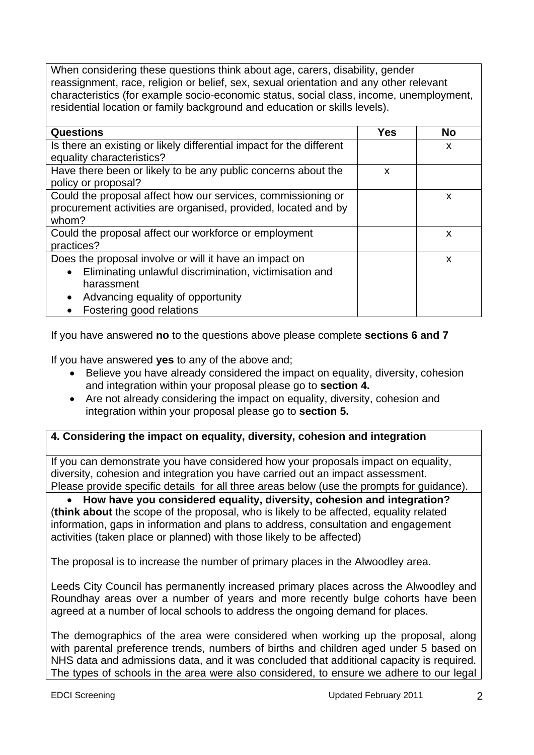When considering these questions think about age, carers, disability, gender reassignment, race, religion or belief, sex, sexual orientation and any other relevant characteristics (for example socio-economic status, social class, income, unemployment, residential location or family background and education or skills levels).

| <b>Questions</b>                                                     | Yes | <b>No</b> |
|----------------------------------------------------------------------|-----|-----------|
| Is there an existing or likely differential impact for the different |     | X         |
| equality characteristics?                                            |     |           |
| Have there been or likely to be any public concerns about the        | X   |           |
| policy or proposal?                                                  |     |           |
| Could the proposal affect how our services, commissioning or         |     | X         |
| procurement activities are organised, provided, located and by       |     |           |
| whom?                                                                |     |           |
| Could the proposal affect our workforce or employment                |     | X         |
| practices?                                                           |     |           |
| Does the proposal involve or will it have an impact on               |     | X         |
| Eliminating unlawful discrimination, victimisation and<br>$\bullet$  |     |           |
| harassment                                                           |     |           |
| Advancing equality of opportunity<br>$\bullet$                       |     |           |
| Fostering good relations                                             |     |           |

If you have answered **no** to the questions above please complete **sections 6 and 7**

If you have answered **yes** to any of the above and;

- Believe you have already considered the impact on equality, diversity, cohesion and integration within your proposal please go to **section 4.**
- Are not already considering the impact on equality, diversity, cohesion and integration within your proposal please go to **section 5.**

## **4. Considering the impact on equality, diversity, cohesion and integration**

If you can demonstrate you have considered how your proposals impact on equality, diversity, cohesion and integration you have carried out an impact assessment. Please provide specific details for all three areas below (use the prompts for guidance).

 **How have you considered equality, diversity, cohesion and integration?**  (**think about** the scope of the proposal, who is likely to be affected, equality related information, gaps in information and plans to address, consultation and engagement activities (taken place or planned) with those likely to be affected)

The proposal is to increase the number of primary places in the Alwoodley area.

Leeds City Council has permanently increased primary places across the Alwoodley and Roundhay areas over a number of years and more recently bulge cohorts have been agreed at a number of local schools to address the ongoing demand for places.

The demographics of the area were considered when working up the proposal, along with parental preference trends, numbers of births and children aged under 5 based on NHS data and admissions data, and it was concluded that additional capacity is required. The types of schools in the area were also considered, to ensure we adhere to our legal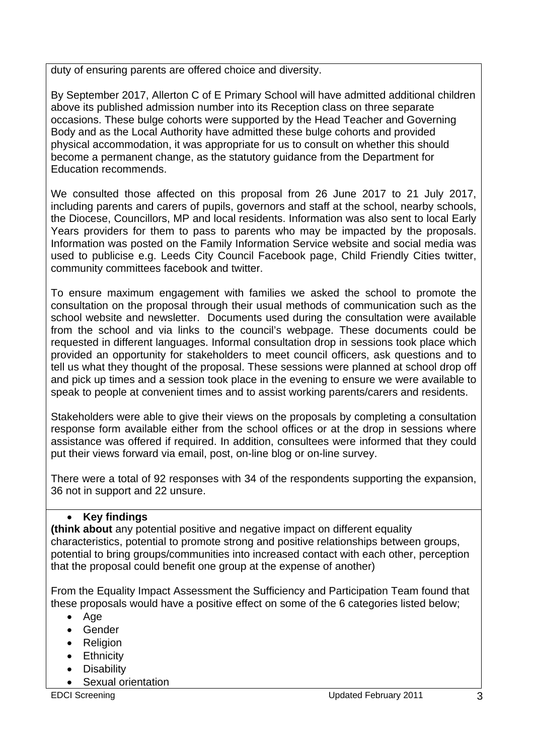duty of ensuring parents are offered choice and diversity.

By September 2017, Allerton C of E Primary School will have admitted additional children above its published admission number into its Reception class on three separate occasions. These bulge cohorts were supported by the Head Teacher and Governing Body and as the Local Authority have admitted these bulge cohorts and provided physical accommodation, it was appropriate for us to consult on whether this should become a permanent change, as the statutory guidance from the Department for Education recommends.

We consulted those affected on this proposal from 26 June 2017 to 21 July 2017, including parents and carers of pupils, governors and staff at the school, nearby schools, the Diocese, Councillors, MP and local residents. Information was also sent to local Early Years providers for them to pass to parents who may be impacted by the proposals. Information was posted on the Family Information Service website and social media was used to publicise e.g. Leeds City Council Facebook page, Child Friendly Cities twitter, community committees facebook and twitter.

To ensure maximum engagement with families we asked the school to promote the consultation on the proposal through their usual methods of communication such as the school website and newsletter. Documents used during the consultation were available from the school and via links to the council's webpage. These documents could be requested in different languages. Informal consultation drop in sessions took place which provided an opportunity for stakeholders to meet council officers, ask questions and to tell us what they thought of the proposal. These sessions were planned at school drop off and pick up times and a session took place in the evening to ensure we were available to speak to people at convenient times and to assist working parents/carers and residents.

Stakeholders were able to give their views on the proposals by completing a consultation response form available either from the school offices or at the drop in sessions where assistance was offered if required. In addition, consultees were informed that they could put their views forward via email, post, on-line blog or on-line survey.

There were a total of 92 responses with 34 of the respondents supporting the expansion, 36 not in support and 22 unsure.

# **Key findings**

**(think about** any potential positive and negative impact on different equality characteristics, potential to promote strong and positive relationships between groups, potential to bring groups/communities into increased contact with each other, perception that the proposal could benefit one group at the expense of another)

From the Equality Impact Assessment the Sufficiency and Participation Team found that these proposals would have a positive effect on some of the 6 categories listed below;

- $\bullet$  Age
- Gender
- Religion
- **•** Ethnicity
- Disability
- Sexual orientation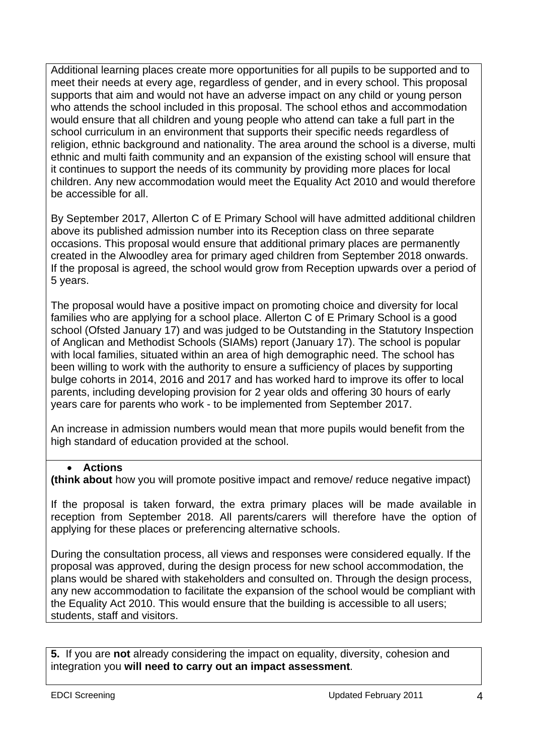Additional learning places create more opportunities for all pupils to be supported and to meet their needs at every age, regardless of gender, and in every school. This proposal supports that aim and would not have an adverse impact on any child or young person who attends the school included in this proposal. The school ethos and accommodation would ensure that all children and young people who attend can take a full part in the school curriculum in an environment that supports their specific needs regardless of religion, ethnic background and nationality. The area around the school is a diverse, multi ethnic and multi faith community and an expansion of the existing school will ensure that it continues to support the needs of its community by providing more places for local children. Any new accommodation would meet the Equality Act 2010 and would therefore be accessible for all.

By September 2017, Allerton C of E Primary School will have admitted additional children above its published admission number into its Reception class on three separate occasions. This proposal would ensure that additional primary places are permanently created in the Alwoodley area for primary aged children from September 2018 onwards. If the proposal is agreed, the school would grow from Reception upwards over a period of 5 years.

The proposal would have a positive impact on promoting choice and diversity for local families who are applying for a school place. Allerton C of E Primary School is a good school (Ofsted January 17) and was judged to be Outstanding in the Statutory Inspection of Anglican and Methodist Schools (SIAMs) report (January 17). The school is popular with local families, situated within an area of high demographic need. The school has been willing to work with the authority to ensure a sufficiency of places by supporting bulge cohorts in 2014, 2016 and 2017 and has worked hard to improve its offer to local parents, including developing provision for 2 year olds and offering 30 hours of early years care for parents who work - to be implemented from September 2017.

An increase in admission numbers would mean that more pupils would benefit from the high standard of education provided at the school.

## **Actions**

**(think about** how you will promote positive impact and remove/ reduce negative impact)

If the proposal is taken forward, the extra primary places will be made available in reception from September 2018. All parents/carers will therefore have the option of applying for these places or preferencing alternative schools.

During the consultation process, all views and responses were considered equally. If the proposal was approved, during the design process for new school accommodation, the plans would be shared with stakeholders and consulted on. Through the design process, any new accommodation to facilitate the expansion of the school would be compliant with the Equality Act 2010. This would ensure that the building is accessible to all users; students, staff and visitors.

**5.** If you are **not** already considering the impact on equality, diversity, cohesion and integration you **will need to carry out an impact assessment**.